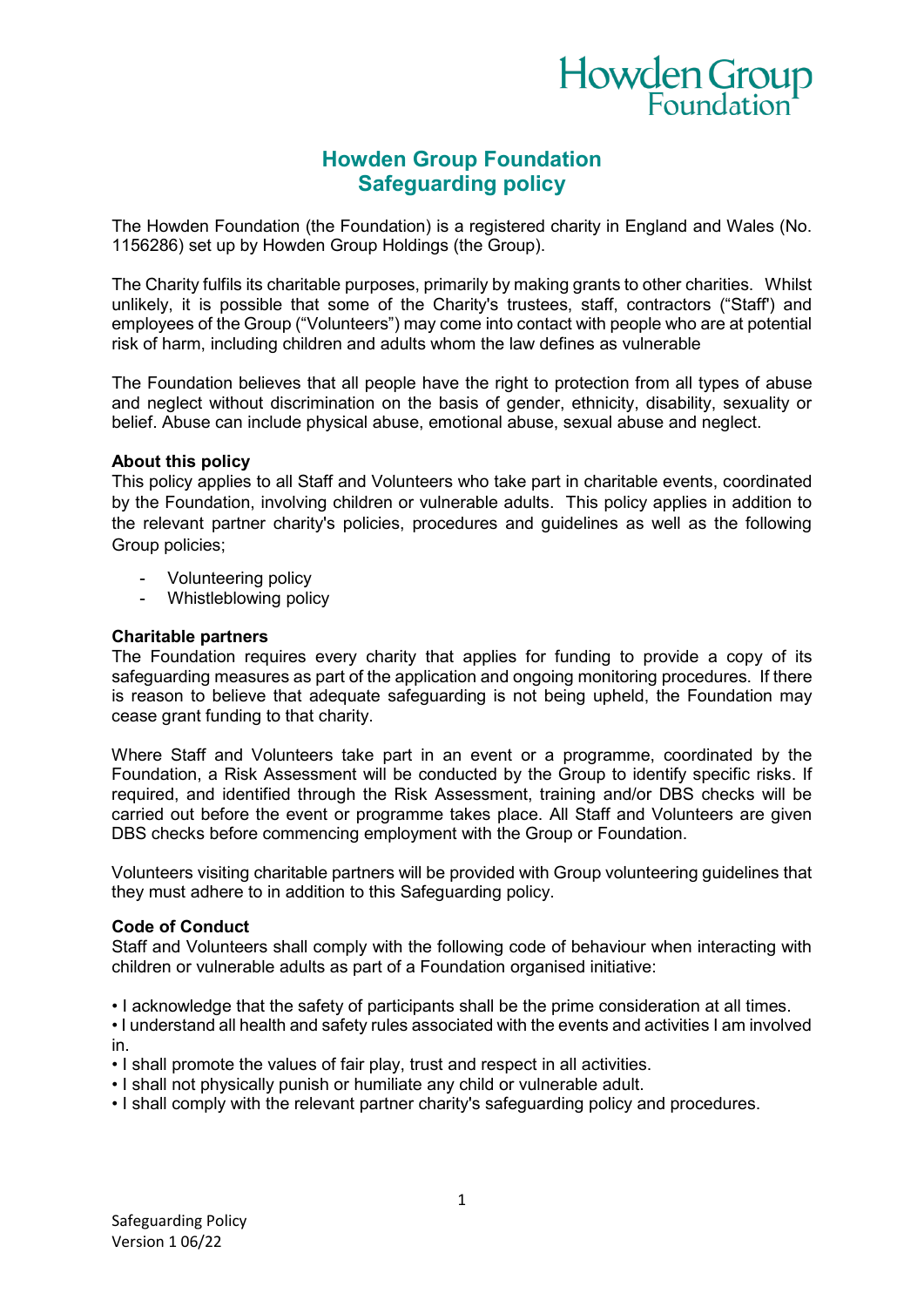

# **Howden Group Foundation Safeguarding policy**

The Howden Foundation (the Foundation) is a registered charity in England and Wales (No. 1156286) set up by Howden Group Holdings (the Group).

The Charity fulfils its charitable purposes, primarily by making grants to other charities. Whilst unlikely, it is possible that some of the Charity's trustees, staff, contractors ("Staff') and employees of the Group ("Volunteers") may come into contact with people who are at potential risk of harm, including children and adults whom the law defines as vulnerable

The Foundation believes that all people have the right to protection from all types of abuse and neglect without discrimination on the basis of gender, ethnicity, disability, sexuality or belief. Abuse can include physical abuse, emotional abuse, sexual abuse and neglect.

### **About this policy**

This policy applies to all Staff and Volunteers who take part in charitable events, coordinated by the Foundation, involving children or vulnerable adults. This policy applies in addition to the relevant partner charity's policies, procedures and guidelines as well as the following Group policies;

- Volunteering policy
- Whistleblowing policy

### **Charitable partners**

The Foundation requires every charity that applies for funding to provide a copy of its safeguarding measures as part of the application and ongoing monitoring procedures. If there is reason to believe that adequate safeguarding is not being upheld, the Foundation may cease grant funding to that charity.

Where Staff and Volunteers take part in an event or a programme, coordinated by the Foundation, a Risk Assessment will be conducted by the Group to identify specific risks. If required, and identified through the Risk Assessment, training and/or DBS checks will be carried out before the event or programme takes place. All Staff and Volunteers are given DBS checks before commencing employment with the Group or Foundation.

Volunteers visiting charitable partners will be provided with Group volunteering guidelines that they must adhere to in addition to this Safeguarding policy.

### **Code of Conduct**

Staff and Volunteers shall comply with the following code of behaviour when interacting with children or vulnerable adults as part of a Foundation organised initiative:

- I acknowledge that the safety of participants shall be the prime consideration at all times.
- I understand all health and safety rules associated with the events and activities I am involved in.
- I shall promote the values of fair play, trust and respect in all activities.
- I shall not physically punish or humiliate any child or vulnerable adult.
- I shall comply with the relevant partner charity's safeguarding policy and procedures.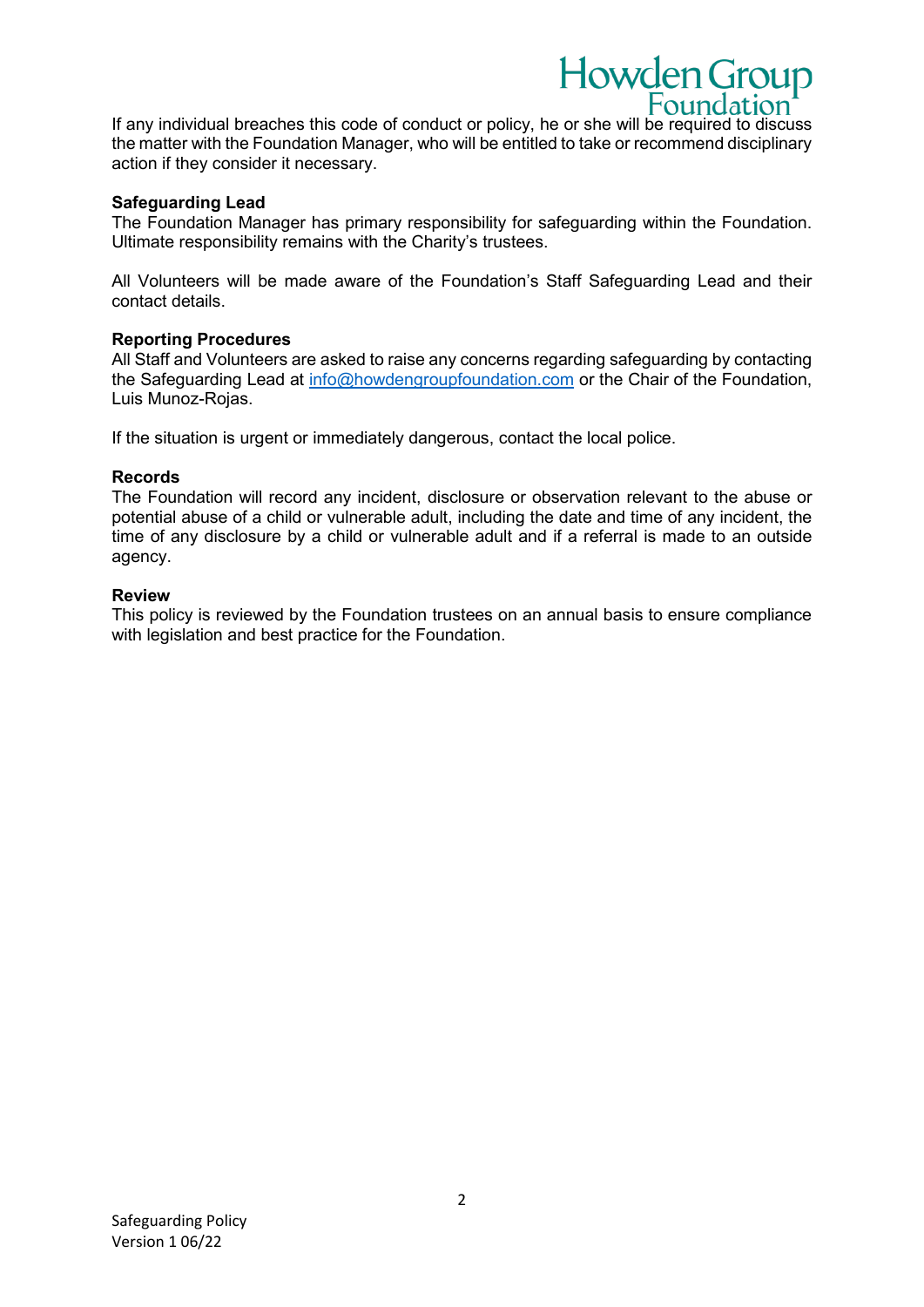Foundation If any individual breaches this code of conduct or policy, he or she will be required to discuss the matter with the Foundation Manager, who will be entitled to take or recommend disciplinary action if they consider it necessary.

Howden Group

# **Safeguarding Lead**

The Foundation Manager has primary responsibility for safeguarding within the Foundation. Ultimate responsibility remains with the Charity's trustees.

All Volunteers will be made aware of the Foundation's Staff Safeguarding Lead and their contact details.

# **Reporting Procedures**

All Staff and Volunteers are asked to raise any concerns regarding safeguarding by contacting the Safeguarding Lead at [info@howdengroupfoundation.com](mailto:info@howdengroupfoundation.com) or the Chair of the Foundation, Luis Munoz-Rojas.

If the situation is urgent or immediately dangerous, contact the local police.

# **Records**

The Foundation will record any incident, disclosure or observation relevant to the abuse or potential abuse of a child or vulnerable adult, including the date and time of any incident, the time of any disclosure by a child or vulnerable adult and if a referral is made to an outside agency.

### **Review**

This policy is reviewed by the Foundation trustees on an annual basis to ensure compliance with legislation and best practice for the Foundation.